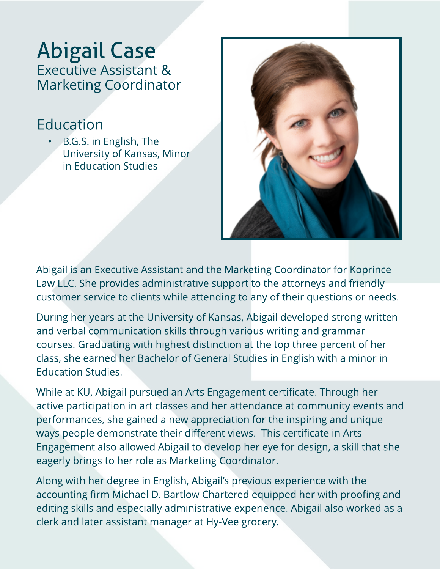## Abigail Case Executive Assistant & Marketing Coordinator

## Education

B.G.S. in English, The University of Kansas, Minor in Education Studies



Abigail is an Executive Assistant and the Marketing Coordinator for Koprince Law LLC. She provides administrative support to the attorneys and friendly customer service to clients while attending to any of their questions or needs.

During her years at the University of Kansas, Abigail developed strong written and verbal communication skills through various writing and grammar courses. Graduating with highest distinction at the top three percent of her class, she earned her Bachelor of General Studies in English with a minor in Education Studies.

While at KU, Abigail pursued an Arts Engagement certificate. Through her active participation in art classes and her attendance at community events and performances, she gained a new appreciation for the inspiring and unique ways people demonstrate their different views. This certificate in Arts Engagement also allowed Abigail to develop her eye for design, a skill that she eagerly brings to her role as Marketing Coordinator.

Along with her degree in English, Abigail?s previous experience with the accounting firm Michael D. Bartlow Chartered equipped her with proofing and editing skills and especially administrative experience. Abigail also worked as a clerk and later assistant manager at Hy-Vee grocery.